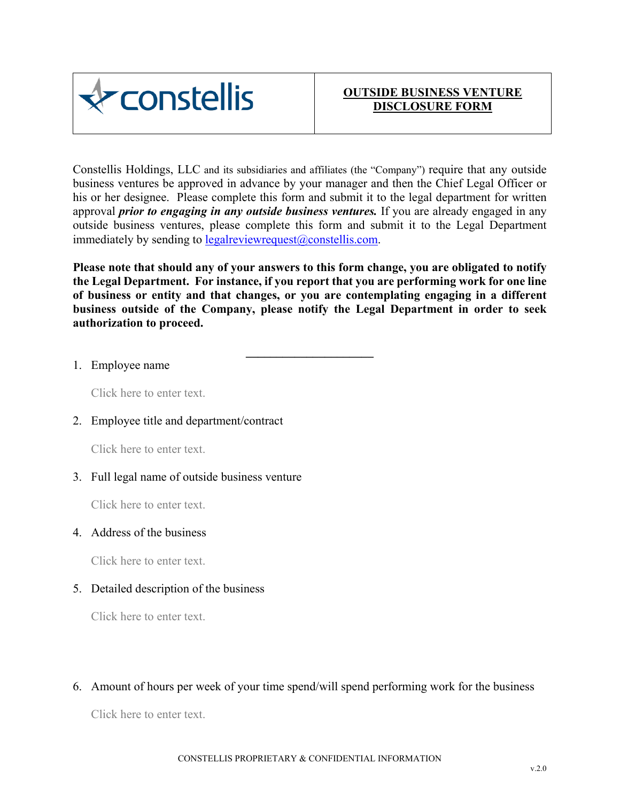

Constellis Holdings, LLC and its subsidiaries and affiliates (the "Company") require that any outside business ventures be approved in advance by your manager and then the Chief Legal Officer or his or her designee. Please complete this form and submit it to the legal department for written approval *prior to engaging in any outside business ventures.* If you are already engaged in any outside business ventures, please complete this form and submit it to the Legal Department immediately by sending to legalreviewrequest $(\partial \text{constellis.com})$ .

**Please note that should any of your answers to this form change, you are obligated to notify the Legal Department. For instance, if you report that you are performing work for one line of business or entity and that changes, or you are contemplating engaging in a different business outside of the Company, please notify the Legal Department in order to seek authorization to proceed.** 

**\_\_\_\_\_\_\_\_\_\_\_\_\_\_\_\_\_\_\_\_\_** 

## 1. Employee name

Click here to enter text.

## 2. Employee title and department/contract

Click here to enter text.

## 3. Full legal name of outside business venture

Click here to enter text.

### 4. Address of the business

Click here to enter text.

## 5. Detailed description of the business

Click here to enter text.

6. Amount of hours per week of your time spend/will spend performing work for the business

Click here to enter text.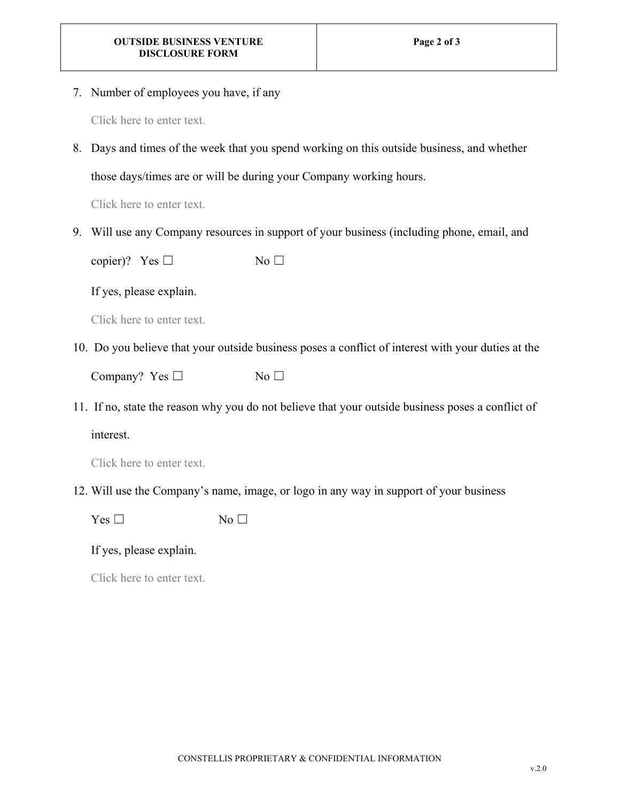7. Number of employees you have, if any

Click here to enter text.

8. Days and times of the week that you spend working on this outside business, and whether

those days/times are or will be during your Company working hours.

Click here to enter text.

9. Will use any Company resources in support of your business (including phone, email, and

copier)? Yes  $□$  No  $□$ 

## If yes, please explain.

Click here to enter text.

10. Do you believe that your outside business poses a conflict of interest with your duties at the

Company? Yes  $□$  No  $□$ 

11. If no, state the reason why you do not believe that your outside business poses a conflict of

interest.

12. Will use the Company's name, image, or logo in any way in support of your business

 $Yes \Box$  No  $\Box$ 

## If yes, please explain.

Click here to enter text.